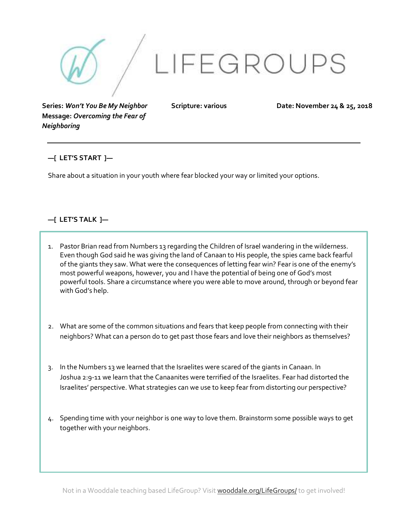

**Series:** *Won't You Be My Neighbor* **Message:** *Overcoming the Fear of Neighboring*

**Scripture: various Date: November 24 & 25, 2018**

## **—[ LET'S START ]—**

Share about a situation in your youth where fear blocked your way or limited your options.

## **—[ LET'S TALK ]—**

- 1. Pastor Brian read from Numbers 13 regarding the Children of Israel wandering in the wilderness. Even though God said he was giving the land of Canaan to His people, the spies came back fearful of the giants they saw. What were the consequences of letting fear win? Fear is one of the enemy's most powerful weapons, however, you and I have the potential of being one of God's most powerful tools. Share a circumstance where you were able to move around, through or beyond fear with God's help.
- 2. What are some of the common situations and fears that keep people from connecting with their neighbors? What can a person do to get past those fears and love their neighbors as themselves?
- 3. In the Numbers 13 we learned that the Israelites were scared of the giants in Canaan. In Joshua 2:9-11 we learn that the Canaanites were terrified of the Israelites. Fear had distorted the Israelites' perspective. What strategies can we use to keep fear from distorting our perspective?
- 4. Spending time with your neighbor is one way to love them. Brainstorm some possible ways to get together with your neighbors.

Not in a Wooddale teaching based LifeGroup? Visit wooddale.org/LifeGroups/ to get involved!